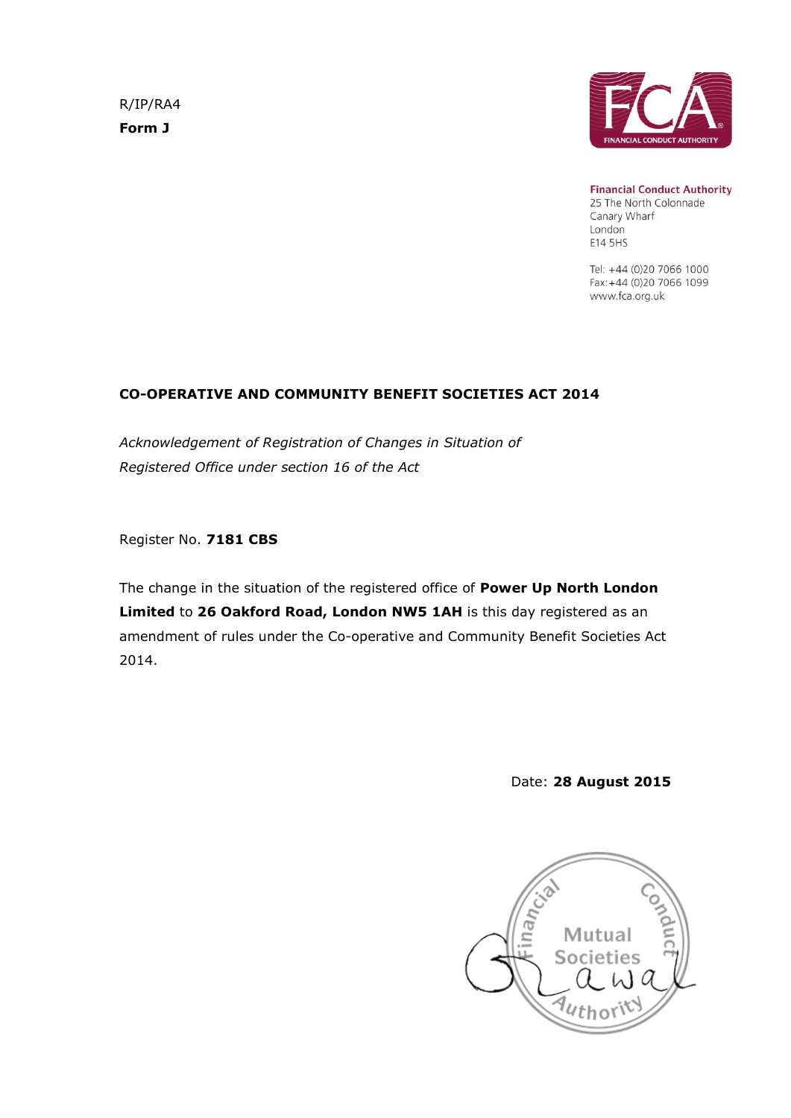R/IP/RA4 **Form J**



**Financial Conduct Authority** 25 The North Colonnade Canary Wharf London E14 5HS

Tel: +44 (0)20 7066 1000 Fax: +44 (0)20 7066 1099 www.fca.org.uk

# **CO-OPERATIVE AND COMMUNITY BENEFIT SOCIETIES ACT 2014**

*Acknowledgement of Registration of Changes in Situation of Registered Office under section 16 of the Act*

Register No. **7181 CBS**

The change in the situation of the registered office of **Power Up North London Limited** to **26 Oakford Road, London NW5 1AH** is this day registered as an amendment of rules under the Co-operative and Community Benefit Societies Act 2014.

Date: **28 August 2015**